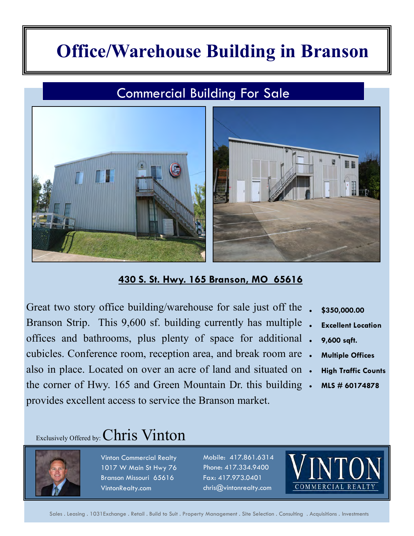## **Office/Warehouse Building in Branson**

## Commercial Building For Sale



**430 S. St. Hwy. 165 Branson, MO 65616**

Great two story office building/warehouse for sale just off the. Branson Strip. This 9,600 sf. building currently has multiple offices and bathrooms, plus plenty of space for additional cubicles. Conference room, reception area, and break room are . also in place. Located on over an acre of land and situated on  $\cdot$ the corner of Hwy. 165 and Green Mountain Dr. this building . provides excellent access to service the Branson market.

- **\$350,000.00**
- **Excellent Location**
- **9,600 sqft.**
- **Multiple Offices**
- **High Traffic Counts**
- **MLS # 60174878**

## Exclusively Offered by: Chris Vinton



Vinton Commercial Realty 1017 W Main St Hwy 76 Branson Missouri 65616 VintonRealty.com

Mobile: 417.861.6314 Phone: 417.334.9400 Fax: 417.973.0401 chris@vintonrealty.com



Sales . Leasing . 1031Exchange . Retail . Build to Suit . Property Management . Site Selection . Consulting . Acquisitions . Investments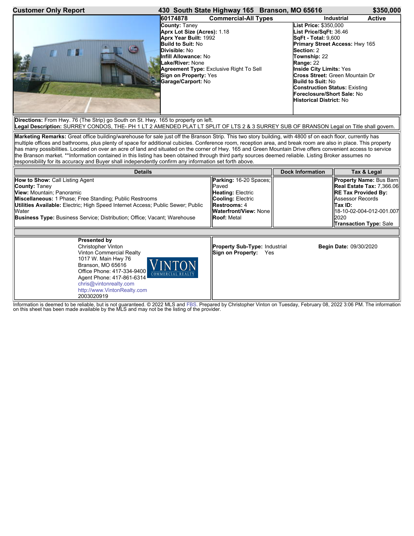|                                                                                                                                                                                                                                                                                                                                                                                                                                                                                                                                                                                                                                                                                                                                                               |                                                                                                                                                                          | 430 South State Highway 165 Branson, MO 65616                                                                                                                                                                                                                                                  | \$350,000                                                                                                                                                                                     |
|---------------------------------------------------------------------------------------------------------------------------------------------------------------------------------------------------------------------------------------------------------------------------------------------------------------------------------------------------------------------------------------------------------------------------------------------------------------------------------------------------------------------------------------------------------------------------------------------------------------------------------------------------------------------------------------------------------------------------------------------------------------|--------------------------------------------------------------------------------------------------------------------------------------------------------------------------|------------------------------------------------------------------------------------------------------------------------------------------------------------------------------------------------------------------------------------------------------------------------------------------------|-----------------------------------------------------------------------------------------------------------------------------------------------------------------------------------------------|
| 60174878<br><b>County: Taney</b><br>Aprx Lot Size (Acres): 1.18<br>Aprx Year Built: 1992<br><b>Build to Suit: No</b><br>Divisible: No<br>Infill Allowance: No<br>Lake/River: None<br>Sign on Property: Yes<br>Garage/Carport: No                                                                                                                                                                                                                                                                                                                                                                                                                                                                                                                              | <b>Commercial-All Types</b><br>Agreement Type: Exclusive Right To Sell                                                                                                   | <b>List Price: \$350.000</b><br>List Price/SqFt: 36.46<br>SqFt - Total: 9,600<br><b>Section: 2</b><br>Township: 22<br>Range: 22<br>Inside City Limits: Yes<br><b>Build to Suit: No</b><br><b>Construction Status: Existing</b><br>Foreclosure/Short Sale: No<br><b>Historical District: No</b> | <b>Industrial</b><br><b>Active</b><br>Primary Street Access: Hwy 165<br><b>Cross Street:</b> Green Mountain Dr                                                                                |
| Directions: From Hwy. 76 (The Strip) go South on St. Hwy. 165 to property on left.<br>Legal Description: SURREY CONDOS, THE- PH 1 LT 2 AMENDED PLAT LT SPLIT OF LTS 2 & 3 SURREY SUB OF BRANSON Legal on Title shall govern.                                                                                                                                                                                                                                                                                                                                                                                                                                                                                                                                  |                                                                                                                                                                          |                                                                                                                                                                                                                                                                                                |                                                                                                                                                                                               |
| Marketing Remarks: Great office building/warehouse for sale just off the Branson Strip. This two story building, with 4800 sf on each floor, currently has<br>multiple offices and bathrooms, plus plenty of space for additional cubicles. Conference room, reception area, and break room are also in place. This property<br>has many possibilities. Located on over an acre of land and situated on the corner of Hwy. 165 and Green Mountain Drive offers convenient access to service<br>the Branson market. **Information contained in this listing has been obtained through third party sources deemed reliable. Listing Broker assumes no<br>responsibility for its accuracy and Buyer shall independently confirm any information set forth above. |                                                                                                                                                                          |                                                                                                                                                                                                                                                                                                |                                                                                                                                                                                               |
|                                                                                                                                                                                                                                                                                                                                                                                                                                                                                                                                                                                                                                                                                                                                                               |                                                                                                                                                                          |                                                                                                                                                                                                                                                                                                |                                                                                                                                                                                               |
| <b>Details</b>                                                                                                                                                                                                                                                                                                                                                                                                                                                                                                                                                                                                                                                                                                                                                |                                                                                                                                                                          | <b>Dock Information</b>                                                                                                                                                                                                                                                                        | Tax & Legal                                                                                                                                                                                   |
| How to Show: Call Listing Agent<br><b>County: Taney</b><br>View: Mountain: Panoramic<br>Miscellaneous: 1 Phase; Free Standing; Public Restrooms<br>Utilities Available: Electric; High Speed Internet Access; Public Sewer; Public<br>Water<br>Business Type: Business Service; Distribution; Office; Vacant; Warehouse                                                                                                                                                                                                                                                                                                                                                                                                                                       | Parking: 16-20 Spaces;<br><b>I</b> Paved<br><b>Heating: Electric</b><br>Cooling: Electric<br><b>IRestrooms:</b> 4<br><b>Waterfront/View: None</b><br><b>IRoof:</b> Metal |                                                                                                                                                                                                                                                                                                | Property Name: Bus Barn<br>Real Estate Tax: 7,366.06<br><b>RE Tax Provided By:</b><br><b>Assessor Records</b><br>Tax ID:<br>18-10-02-004-012-001.007<br>2020<br><b>Transaction Type: Sale</b> |
|                                                                                                                                                                                                                                                                                                                                                                                                                                                                                                                                                                                                                                                                                                                                                               |                                                                                                                                                                          |                                                                                                                                                                                                                                                                                                |                                                                                                                                                                                               |

Information is deemed to be reliable, but is not guaranteed. © 2022 MLS and [FBS.](http://www.flexmls.com/copyright_notice.html?2) Prepared by Christopher Vinton on Tuesday, February 08, 2022 3:06 PM. The information<br>on this sheet has been made available by the MLS and ma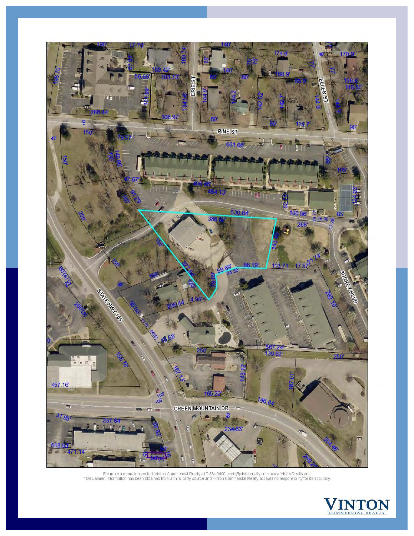

For more information contact Vinton Commercial Realty 417.334.9400. chris@vintonrealty.com www.VintonRealty.com<br>Disclaimer: Information has been obtained from a third party source and Vinton Commercial Realty accepts no re

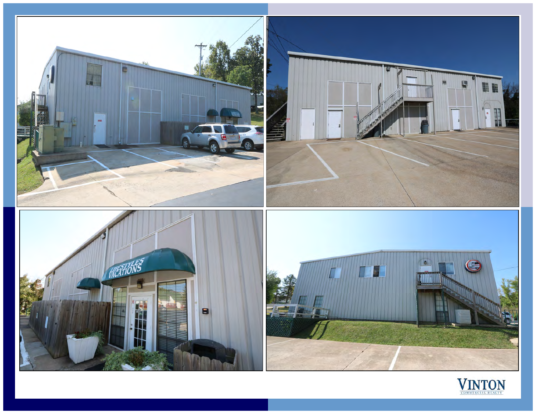